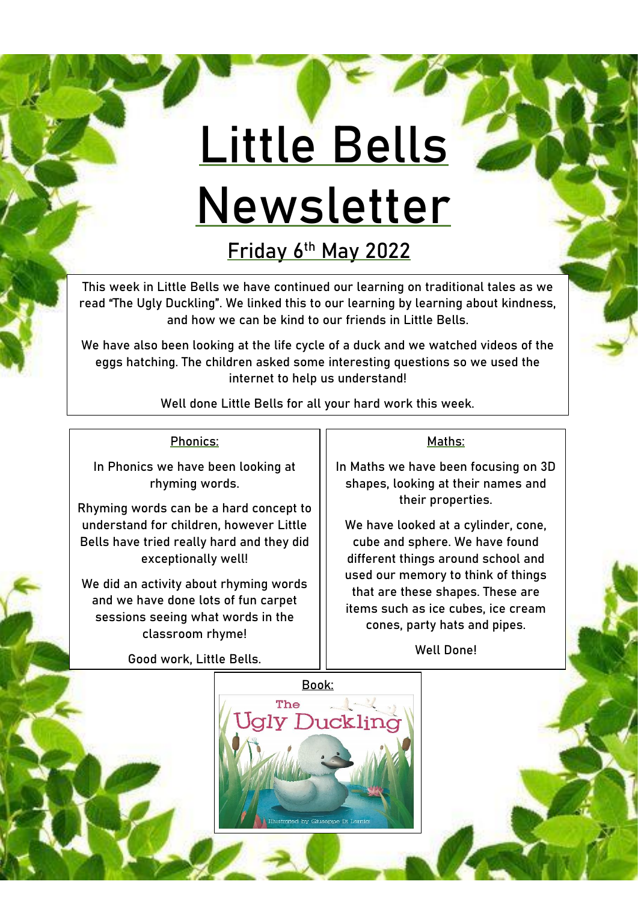# **Little Bells Newsletter**

**Friday 6th May 2022**

This week in Little Bells we have continued our learning on traditional tales as we read "The Ugly Duckling". We linked this to our learning by learning about kindness, and how we can be kind to our friends in Little Bells.

We have also been looking at the life cycle of a duck and we watched videos of the eggs hatching. The children asked some interesting questions so we used the internet to help us understand!

Well done Little Bells for all your hard work this week.

## Phonics:

In Phonics we have been looking at rhyming words.

Rhyming words can be a hard concept to understand for children, however Little Bells have tried really hard and they did exceptionally well!

We did an activity about rhyming words and we have done lots of fun carpet sessions seeing what words in the classroom rhyme!

Good work, Little Bells.

#### Maths:

In Maths we have been focusing on 3D shapes, looking at their names and their properties.

We have looked at a cylinder, cone, cube and sphere. We have found different things around school and used our memory to think of things that are these shapes. These are items such as ice cubes, ice cream cones, party hats and pipes.

Well Done!